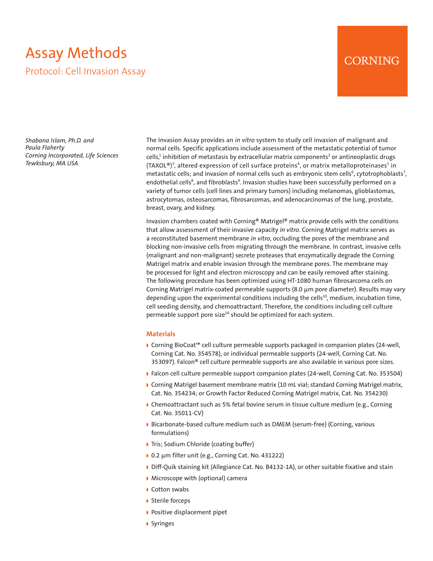# Assay Methods Protocol: Cell Invasion Assay

# **CORNING**

*Shabana Islam, Ph.D. and Paula Flaherty Corning Incorporated, Life Sciences Tewksbury, MA USA*

The Invasion Assay provides an *in vitro* system to study cell invasion of malignant and normal cells. Specific applications include assessment of the metastatic potential of tumor cells, $^1$  inhibition of metastasis by extracellular matrix components $^2$  or antineoplastic drugs (TAXOL®)<sup>3</sup>, altered expression of cell surface proteins<sup>4</sup>, or matrix metalloproteinases<sup>5</sup> in metastatic cells; and invasion of normal cells such as embryonic stem cells<sup>6</sup>, cytotrophoblasts<sup>7</sup>, endothelial cells<sup>8</sup>, and fibroblasts<sup>9</sup>. Invasion studies have been successfully performed on a variety of tumor cells (cell lines and primary tumors) including melanomas, glioblastomas, astrocytomas, osteosarcomas, fibrosarcomas, and adenocarcinomas of the lung, prostate, breast, ovary, and kidney.

Invasion chambers coated with Corning® Matrigel® matrix provide cells with the conditions that allow assessment of their invasive capacity *in vitro*. Corning Matrigel matrix serves as a reconstituted basement membrane *in vitro*, occluding the pores of the membrane and blocking non-invasive cells from migrating through the membrane. In contrast, invasive cells (malignant and non-malignant) secrete proteases that enzymatically degrade the Corning Matrigel matrix and enable invasion through the membrane pores. The membrane may be processed for light and electron microscopy and can be easily removed after staining. The following procedure has been optimized using HT-1080 human fibrosarcoma cells on Corning Matrigel matrix-coated permeable supports (8.0 µm pore diameter). Results may vary depending upon the experimental conditions including the cells<sup>10</sup>, medium, incubation time, cell seeding density, and chemoattractant. Therefore, the conditions including cell culture permeable support pore size<sup>10</sup> should be optimized for each system.

#### **Materials**

- D Corning BioCoat™ cell culture permeable supports packaged in companion plates (24-well, Corning Cat. No. 354578), or individual permeable supports (24-well, Corning Cat. No. 353097). Falcon® cell culture permeable supports are also available in various pore sizes.
- **B** Falcon cell culture permeable support companion plates (24-well, Corning Cat. No. 353504)
- **Corning Matrigel basement membrane matrix (10 mL vial; standard Corning Matrigel matrix,** Cat. No. 354234; or Growth Factor Reduced Corning Matrigel matrix, Cat. No. 354230)
- **Chemoattractant such as 5% fetal bovine serum in tissue culture medium (e.g., Corning** Cat. No. 35011-CV)
- Bicarbonate-based culture medium such as DMEM (serum-free) (Corning, various formulations)
- Tris; Sodium Chloride (coating buffer)
- 0.2 µm filter unit (e.g., Corning Cat. No. 431222)
- Diff-Quik staining kit (Allegiance Cat. No. B4132-1A), or other suitable fixative and stain
- Microscope with (optional) camera
- Cotton swabs
- ▶ Sterile forceps
- **Positive displacement pipet**
- **Syringes**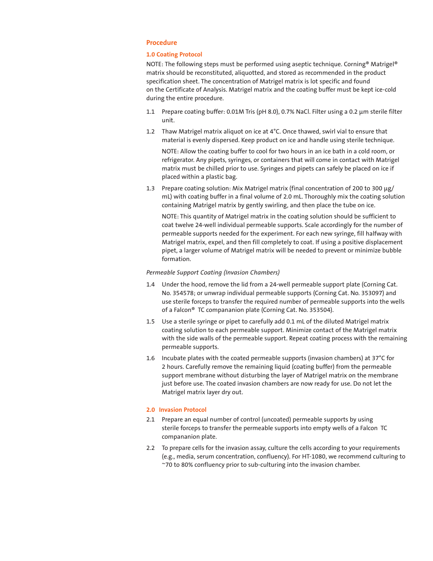# **Procedure**

# **1.0 Coating Protocol**

NOTE: The following steps must be performed using aseptic technique. Corning® Matrigel® matrix should be reconstituted, aliquotted, and stored as recommended in the product specification sheet. The concentration of Matrigel matrix is lot specific and found on the Certificate of Analysis. Matrigel matrix and the coating buffer must be kept ice-cold during the entire procedure.

- 1.1 Prepare coating buffer: 0.01M Tris (pH 8.0), 0.7% NaCl. Filter using a 0.2 µm sterile filter unit.
- 1.2 Thaw Matrigel matrix aliquot on ice at 4°C. Once thawed, swirl vial to ensure that material is evenly dispersed. Keep product on ice and handle using sterile technique.

NOTE: Allow the coating buffer to cool for two hours in an ice bath in a cold room, or refrigerator. Any pipets, syringes, or containers that will come in contact with Matrigel matrix must be chilled prior to use. Syringes and pipets can safely be placed on ice if placed within a plastic bag.

1.3 Prepare coating solution: Mix Matrigel matrix (final concentration of 200 to 300 µg/ mL) with coating buffer in a final volume of 2.0 mL. Thoroughly mix the coating solution containing Matrigel matrix by gently swirling, and then place the tube on ice.

NOTE: This quantity of Matrigel matrix in the coating solution should be sufficient to coat twelve 24-well individual permeable supports. Scale accordingly for the number of permeable supports needed for the experiment. For each new syringe, fill halfway with Matrigel matrix, expel, and then fill completely to coat. If using a positive displacement pipet, a larger volume of Matrigel matrix will be needed to prevent or minimize bubble formation.

# *Permeable Support Coating (Invasion Chambers)*

- 1.4 Under the hood, remove the lid from a 24-well permeable support plate (Corning Cat. No. 354578; or unwrap individual permeable supports (Corning Cat. No. 353097) and use sterile forceps to transfer the required number of permeable supports into the wells of a Falcon® TC compananion plate (Corning Cat. No. 353504).
- 1.5 Use a sterile syringe or pipet to carefully add 0.1 mL of the diluted Matrigel matrix coating solution to each permeable support. Minimize contact of the Matrigel matrix with the side walls of the permeable support. Repeat coating process with the remaining permeable supports.
- 1.6 Incubate plates with the coated permeable supports (invasion chambers) at 37°C for 2 hours. Carefully remove the remaining liquid (coating buffer) from the permeable support membrane without disturbing the layer of Matrigel matrix on the membrane just before use. The coated invasion chambers are now ready for use. Do not let the Matrigel matrix layer dry out.

# **2.0 Invasion Protocol**

- 2.1 Prepare an equal number of control (uncoated) permeable supports by using sterile forceps to transfer the permeable supports into empty wells of a Falcon TC compananion plate.
- 2.2 To prepare cells for the invasion assay, culture the cells according to your requirements (e.g., media, serum concentration, confluency). For HT-1080, we recommend culturing to ~70 to 80% confluency prior to sub-culturing into the invasion chamber.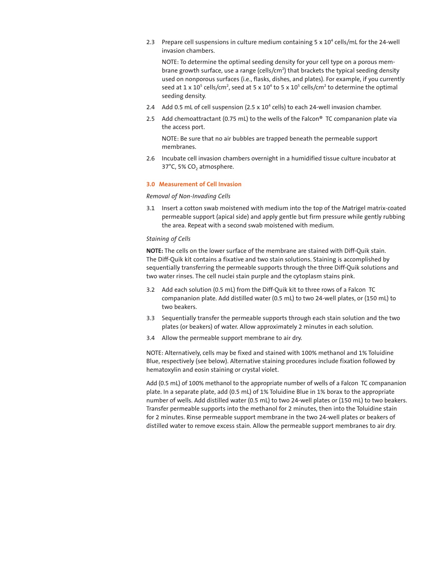2.3 Prepare cell suspensions in culture medium containing  $5 \times 10^4$  cells/mL for the 24-well invasion chambers.

NOTE: To determine the optimal seeding density for your cell type on a porous membrane growth surface, use a range (cells/cm<sup>2</sup>) that brackets the typical seeding density used on nonporous surfaces (i.e., flasks, dishes, and plates). For example, if you currently seed at 1 x  $10^5$  cells/cm<sup>2</sup>, seed at 5 x  $10^4$  to 5 x  $10^5$  cells/cm<sup>2</sup> to determine the optimal seeding density.

- 2.4 Add 0.5 mL of cell suspension (2.5 x 10<sup>4</sup> cells) to each 24-well invasion chamber.
- 2.5 Add chemoattractant (0.75 mL) to the wells of the Falcon® TC compananion plate via the access port.

NOTE: Be sure that no air bubbles are trapped beneath the permeable support membranes.

2.6 Incubate cell invasion chambers overnight in a humidified tissue culture incubator at 37°C, 5% CO<sub>2</sub> atmosphere.

#### **3.0 Measurement of Cell Invasion**

# *Removal of Non-Invading Cells*

3.1 Insert a cotton swab moistened with medium into the top of the Matrigel matrix-coated permeable support (apical side) and apply gentle but firm pressure while gently rubbing the area. Repeat with a second swab moistened with medium.

#### *Staining of Cells*

**NOTE:** The cells on the lower surface of the membrane are stained with Diff-Quik stain. The Diff-Quik kit contains a fixative and two stain solutions. Staining is accomplished by sequentially transferring the permeable supports through the three Diff-Quik solutions and two water rinses. The cell nuclei stain purple and the cytoplasm stains pink.

- 3.2 Add each solution (0.5 mL) from the Diff-Quik kit to three rows of a Falcon TC compananion plate. Add distilled water (0.5 mL) to two 24-well plates, or (150 mL) to two beakers.
- 3.3 Sequentially transfer the permeable supports through each stain solution and the two plates (or beakers) of water. Allow approximately 2 minutes in each solution.
- 3.4 Allow the permeable support membrane to air dry.

NOTE: Alternatively, cells may be fixed and stained with 100% methanol and 1% Toluidine Blue, respectively (see below). Alternative staining procedures include fixation followed by hematoxylin and eosin staining or crystal violet.

Add (0.5 mL) of 100% methanol to the appropriate number of wells of a Falcon TC compananion plate. In a separate plate, add (0.5 mL) of 1% Toluidine Blue in 1% borax to the appropriate number of wells. Add distilled water (0.5 mL) to two 24-well plates or (150 mL) to two beakers. Transfer permeable supports into the methanol for 2 minutes, then into the Toluidine stain for 2 minutes. Rinse permeable support membrane in the two 24-well plates or beakers of distilled water to remove excess stain. Allow the permeable support membranes to air dry.